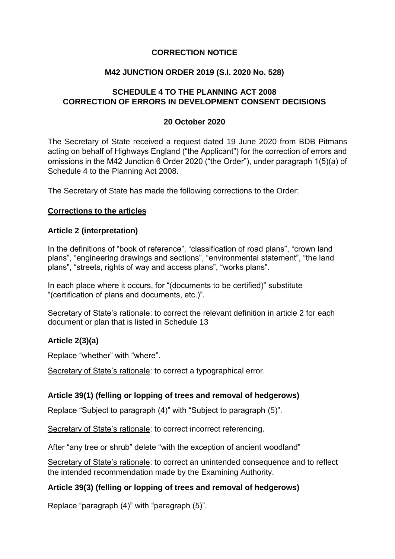# **CORRECTION NOTICE**

### **M42 JUNCTION ORDER 2019 (S.I. 2020 No. 528)**

# **SCHEDULE 4 TO THE PLANNING ACT 2008 CORRECTION OF ERRORS IN DEVELOPMENT CONSENT DECISIONS**

### **20 October 2020**

The Secretary of State received a request dated 19 June 2020 from BDB Pitmans acting on behalf of Highways England ("the Applicant") for the correction of errors and omissions in the M42 Junction 6 Order 2020 ("the Order"), under paragraph 1(5)(a) of Schedule 4 to the Planning Act 2008.

The Secretary of State has made the following corrections to the Order:

#### **Corrections to the articles**

#### **Article 2 (interpretation)**

In the definitions of "book of reference", "classification of road plans", "crown land plans", "engineering drawings and sections", "environmental statement", "the land plans", "streets, rights of way and access plans", "works plans".

In each place where it occurs, for "(documents to be certified)" substitute "(certification of plans and documents, etc.)".

Secretary of State's rationale: to correct the relevant definition in article 2 for each document or plan that is listed in Schedule 13

# **Article 2(3)(a)**

Replace "whether" with "where".

Secretary of State's rationale: to correct a typographical error.

#### **Article 39(1) (felling or lopping of trees and removal of hedgerows)**

Replace "Subject to paragraph (4)" with "Subject to paragraph (5)".

Secretary of State's rationale: to correct incorrect referencing.

After "any tree or shrub" delete "with the exception of ancient woodland"

Secretary of State's rationale: to correct an unintended consequence and to reflect the intended recommendation made by the Examining Authority.

#### **Article 39(3) (felling or lopping of trees and removal of hedgerows)**

Replace "paragraph (4)" with "paragraph (5)".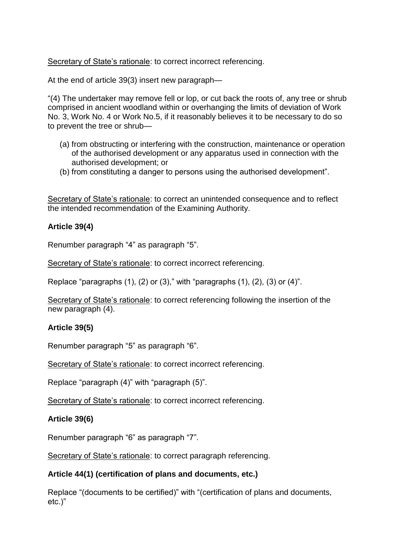Secretary of State's rationale: to correct incorrect referencing.

At the end of article 39(3) insert new paragraph—

"(4) The undertaker may remove fell or lop, or cut back the roots of, any tree or shrub comprised in ancient woodland within or overhanging the limits of deviation of Work No. 3, Work No. 4 or Work No.5, if it reasonably believes it to be necessary to do so to prevent the tree or shrub—

- (a) from obstructing or interfering with the construction, maintenance or operation of the authorised development or any apparatus used in connection with the authorised development; or
- (b) from constituting a danger to persons using the authorised development".

Secretary of State's rationale: to correct an unintended consequence and to reflect the intended recommendation of the Examining Authority.

### **Article 39(4)**

Renumber paragraph "4" as paragraph "5".

Secretary of State's rationale: to correct incorrect referencing.

Replace "paragraphs  $(1)$ ,  $(2)$  or  $(3)$ ," with "paragraphs  $(1)$ ,  $(2)$ ,  $(3)$  or  $(4)$ ".

Secretary of State's rationale: to correct referencing following the insertion of the new paragraph (4).

#### **Article 39(5)**

Renumber paragraph "5" as paragraph "6".

Secretary of State's rationale: to correct incorrect referencing.

Replace "paragraph (4)" with "paragraph (5)".

Secretary of State's rationale: to correct incorrect referencing.

#### **Article 39(6)**

Renumber paragraph "6" as paragraph "7".

Secretary of State's rationale: to correct paragraph referencing.

#### **Article 44(1) (certification of plans and documents, etc.)**

Replace "(documents to be certified)" with "(certification of plans and documents, etc.)"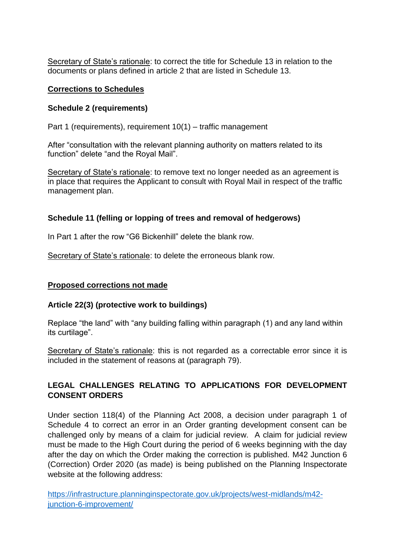Secretary of State's rationale: to correct the title for Schedule 13 in relation to the documents or plans defined in article 2 that are listed in Schedule 13.

# **Corrections to Schedules**

### **Schedule 2 (requirements)**

Part 1 (requirements), requirement 10(1) – traffic management

After "consultation with the relevant planning authority on matters related to its function" delete "and the Royal Mail".

Secretary of State's rationale: to remove text no longer needed as an agreement is in place that requires the Applicant to consult with Royal Mail in respect of the traffic management plan.

# **Schedule 11 (felling or lopping of trees and removal of hedgerows)**

In Part 1 after the row "G6 Bickenhill" delete the blank row.

Secretary of State's rationale: to delete the erroneous blank row.

#### **Proposed corrections not made**

#### **Article 22(3) (protective work to buildings)**

Replace "the land" with "any building falling within paragraph (1) and any land within its curtilage".

Secretary of State's rationale: this is not regarded as a correctable error since it is included in the statement of reasons at (paragraph 79).

# **LEGAL CHALLENGES RELATING TO APPLICATIONS FOR DEVELOPMENT CONSENT ORDERS**

Under section 118(4) of the Planning Act 2008, a decision under paragraph 1 of Schedule 4 to correct an error in an Order granting development consent can be challenged only by means of a claim for judicial review. A claim for judicial review must be made to the High Court during the period of 6 weeks beginning with the day after the day on which the Order making the correction is published. M42 Junction 6 (Correction) Order 2020 (as made) is being published on the Planning Inspectorate website at the following address:

[https://infrastructure.planninginspectorate.gov.uk/projects/west-midlands/m42](https://infrastructure.planninginspectorate.gov.uk/projects/west-midlands/m42-junction-6-improvement/) [junction-6-improvement/](https://infrastructure.planninginspectorate.gov.uk/projects/west-midlands/m42-junction-6-improvement/)